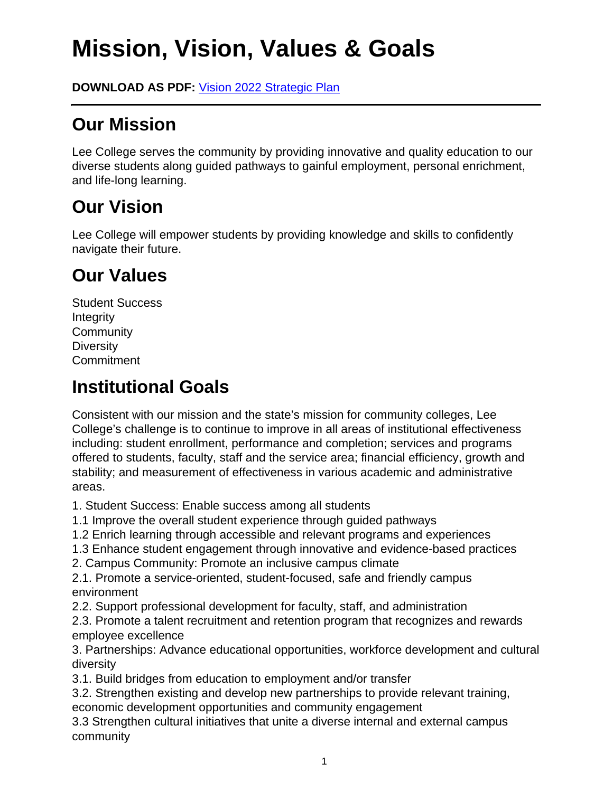# **Mission, Vision, Values & Goals**

**DOWNLOAD AS PDF:** Vision 2022 Strategic Plan

### **Our Mission**

Lee College serves the community by providing innovative and quality education to our diverse students along guided pathways to gainful employment, personal enrichment, and life-long learning.

### **Our Vision**

Lee College will empower students by providing knowledge and skills to confidently navigate their future.

## **Our Values**

Student Success Integrity **Community Diversity** Commitment

### **Institutional Goals**

Consistent with our mission and the state's mission for community colleges, Lee College's challenge is to continue to improve in all areas of institutional effectiveness including: student enrollment, performance and completion; services and programs offered to students, faculty, staff and the service area; financial efficiency, growth and stability; and measurement of effectiveness in various academic and administrative areas.

1. Student Success: Enable success among all students

- 1.1 Improve the overall student experience through guided pathways
- 1.2 Enrich learning through accessible and relevant programs and experiences
- 1.3 Enhance student engagement through innovative and evidence-based practices
- 2. Campus Community: Promote an inclusive campus climate

2.1. Promote a service-oriented, student-focused, safe and friendly campus environment

2.2. Support professional development for faculty, staff, and administration

2.3. Promote a talent recruitment and retention program that recognizes and rewards employee excellence

3. Partnerships: Advance educational opportunities, workforce development and cultural diversity

3.1. Build bridges from education to employment and/or transfer

3.2. Strengthen existing and develop new partnerships to provide relevant training, economic development opportunities and community engagement

3.3 Strengthen cultural initiatives that unite a diverse internal and external campus community